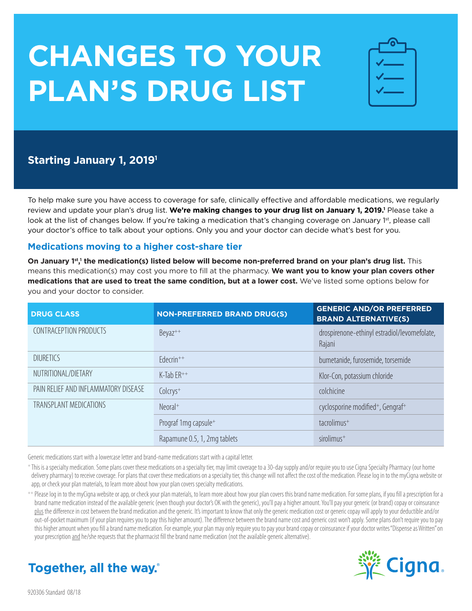# **CHANGES TO YOUR PLAN'S DRUG LIST**

| $\bullet$<br>÷         |
|------------------------|
| <b>Service Service</b> |
|                        |
| <b>Service Service</b> |
|                        |

# **Starting January 1, 20191**

To help make sure you have access to coverage for safe, clinically effective and affordable medications, we regularly review and update your plan's drug list. **We're making changes to your drug list on January 1, 2019.'** Please take a look at the list of changes below. If you're taking a medication that's changing coverage on January 1st, please call your doctor's office to talk about your options. Only you and your doctor can decide what's best for you.

### **Medications moving to a higher cost-share tier**

**On January 1<sup>st</sup>,<sup>1</sup> the medication(s) listed below will become non-preferred brand on your plan's drug list. This** means this medication(s) may cost you more to fill at the pharmacy. **We want you to know your plan covers other medications that are used to treat the same condition, but at a lower cost.** We've listed some options below for you and your doctor to consider.

| <b>DRUG CLASS</b>                    | <b>NON-PREFERRED BRAND DRUG(S)</b> | <b>GENERIC AND/OR PREFERRED</b><br><b>BRAND ALTERNATIVE(S)</b> |
|--------------------------------------|------------------------------------|----------------------------------------------------------------|
| CONTRACEPTION PRODUCTS               | Beyaz <sup>++</sup>                | drospirenone-ethinyl estradiol/levomefolate,<br>Rajani         |
| <b>DIURETICS</b>                     | $Edecrin^{++}$                     | bumetanide, furosemide, torsemide                              |
| NUTRITIONAL/DIETARY                  | $K$ -Tab $ER$ <sup>++</sup>        | Klor-Con, potassium chloride                                   |
| PAIN RELIEF AND INFLAMMATORY DISEASE | Colcrys <sup>+</sup>               | colchicine                                                     |
| TRANSPLANT MEDICATIONS               | $Neoral+$                          | cyclosporine modified <sup>+</sup> , Gengraf <sup>+</sup>      |
|                                      | Prograf 1mg capsule+               | tacrolimus <sup>+</sup>                                        |
|                                      | Rapamune 0.5, 1, 2mg tablets       | sirolimus <sup>+</sup>                                         |

Generic medications start with a lowercase letter and brand-name medications start with a capital letter.

<sup>+</sup> This is a specialty medication. Some plans cover these medications on a specialty tier, may limit coverage to a 30-day supply and/or require you to use Cigna Specialty Pharmacy (our home delivery pharmacy) to receive coverage. For plans that cover these medications on a specialty tier, this change will not affect the cost of the medication. Please log in to the myCigna website or app, or check your plan materials, to learn more about how your plan covers specialty medications.

++ Please log in to the myCigna website or app, or check your plan materials, to learn more about how your plan covers this brand name medication. For some plans, if you fill a prescription for a brand name medication instead of the available generic (even though your doctor's OK with the generic), you'll pay a higher amount. You'll pay your generic (or brand) copay or coinsurance plus the difference in cost between the brand medication and the generic. It's important to know that only the generic medication cost or generic copay will apply to your deductible and/or out-of-pocket maximum (if your plan requires you to pay this higher amount). The difference between the brand name cost and generic cost won't apply. Some plans don't require you to pay this higher amount when you fill a brand name medication. For example, your plan may only require you to pay your brand copay or coinsurance if your doctor writes "Dispense as Written" on your prescription and he/she requests that the pharmacist fill the brand name medication (not the available generic alternative).



# Together, all the way.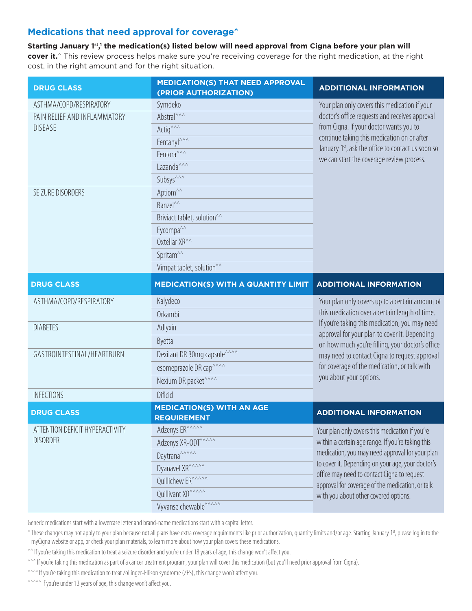## **Medications that need approval for coverage^**

**Starting January 1st, 1 the medication(s) listed below will need approval from Cigna before your plan will cover it.**<sup>^</sup> This review process helps make sure you're receiving coverage for the right medication, at the right cost, in the right amount and for the right situation.

| <b>DRUG CLASS</b>                              | <b>MEDICATION(S) THAT NEED APPROVAL</b><br>(PRIOR AUTHORIZATION) | <b>ADDITIONAL INFORMATION</b>                                                                                                                                                                                                                                                                            |
|------------------------------------------------|------------------------------------------------------------------|----------------------------------------------------------------------------------------------------------------------------------------------------------------------------------------------------------------------------------------------------------------------------------------------------------|
| ASTHMA/COPD/RESPIRATORY                        | Symdeko                                                          | Your plan only covers this medication if your<br>doctor's office requests and receives approval<br>from Cigna. If your doctor wants you to<br>continue taking this medication on or after<br>January 1 <sup>st</sup> , ask the office to contact us soon so<br>we can start the coverage review process. |
| PAIN RELIEF AND INFLAMMATORY<br><b>DISEASE</b> | Abstral <sup>^^^</sup>                                           |                                                                                                                                                                                                                                                                                                          |
|                                                | Actig <sup>^^^</sup>                                             |                                                                                                                                                                                                                                                                                                          |
|                                                | Fentanyl <sup>^^^</sup>                                          |                                                                                                                                                                                                                                                                                                          |
|                                                | Fentora <sup>^^^</sup>                                           |                                                                                                                                                                                                                                                                                                          |
|                                                | Lazanda <sup>^^^</sup>                                           |                                                                                                                                                                                                                                                                                                          |
|                                                | Subsys <sup>^^^</sup>                                            |                                                                                                                                                                                                                                                                                                          |
| SEIZURE DISORDERS                              | Aptiom <sup>^^</sup>                                             |                                                                                                                                                                                                                                                                                                          |
|                                                | Banzel <sup>^^</sup>                                             |                                                                                                                                                                                                                                                                                                          |
|                                                | Briviact tablet, solution <sup>^^</sup>                          |                                                                                                                                                                                                                                                                                                          |
|                                                | Fycompa <sup>^^</sup>                                            |                                                                                                                                                                                                                                                                                                          |
|                                                | Oxtellar XR <sup>^^</sup>                                        |                                                                                                                                                                                                                                                                                                          |
|                                                | Spritam <sup>^^</sup>                                            |                                                                                                                                                                                                                                                                                                          |
|                                                | Vimpat tablet, solution <sup>^^</sup>                            |                                                                                                                                                                                                                                                                                                          |
| <b>DRUG CLASS</b>                              | <b>MEDICATION(S) WITH A QUANTITY LIMIT</b>                       | <b>ADDITIONAL INFORMATION</b>                                                                                                                                                                                                                                                                            |
| ASTHMA/COPD/RESPIRATORY                        |                                                                  |                                                                                                                                                                                                                                                                                                          |
|                                                | Kalydeco                                                         | Your plan only covers up to a certain amount of                                                                                                                                                                                                                                                          |
|                                                | Orkambi                                                          | this medication over a certain length of time.                                                                                                                                                                                                                                                           |
| <b>DIABETES</b>                                | Adlyxin                                                          | If you're taking this medication, you may need                                                                                                                                                                                                                                                           |
|                                                | Byetta                                                           | approval for your plan to cover it. Depending                                                                                                                                                                                                                                                            |
| GASTROINTESTINAL/HEARTBURN                     | Dexilant DR 30mg capsule <sup>^^^^</sup>                         | on how much you're filling, your doctor's office<br>may need to contact Cigna to request approval                                                                                                                                                                                                        |
|                                                | esomeprazole DR cap^^^^                                          | for coverage of the medication, or talk with                                                                                                                                                                                                                                                             |
|                                                | Nexium DR packet <sup>^^^^</sup>                                 | you about your options.                                                                                                                                                                                                                                                                                  |
| <b>INFECTIONS</b>                              | <b>Dificid</b>                                                   |                                                                                                                                                                                                                                                                                                          |
| <b>DRUG CLASS</b>                              | <b>MEDICATION(S) WITH AN AGE</b><br><b>REQUIREMENT</b>           | <b>ADDITIONAL INFORMATION</b>                                                                                                                                                                                                                                                                            |
| ATTENTION DEFICIT HYPERACTIVITY                |                                                                  |                                                                                                                                                                                                                                                                                                          |
| <b>DISORDER</b>                                | Adzenys ERAAAAA                                                  | Your plan only covers this medication if you're<br>within a certain age range. If you're taking this                                                                                                                                                                                                     |
|                                                | Adzenys XR-ODT                                                   | medication, you may need approval for your plan                                                                                                                                                                                                                                                          |
|                                                | Daytrana <sup>^^^^^</sup>                                        | to cover it. Depending on your age, your doctor's                                                                                                                                                                                                                                                        |
|                                                | Dyanavel XR <sup>^^^^^</sup>                                     | office may need to contact Cigna to request                                                                                                                                                                                                                                                              |
|                                                | Quillichew ER <sup>^^^^^</sup><br>Quillivant XR <sup>^^^^^</sup> | approval for coverage of the medication, or talk<br>with you about other covered options.                                                                                                                                                                                                                |

Generic medications start with a lowercase letter and brand-name medications start with a capital letter.

<sup>^</sup> These changes may not apply to your plan because not all plans have extra coverage requirements like prior authorization, quantity limits and/or age. Starting January 1st, please log in to the myCigna website or app, or check your plan materials, to learn more about how your plan covers these medications.

^^ If you're taking this medication to treat a seizure disorder and you're under 18 years of age, this change won't affect you.

 $\sim$  If you're taking this medication as part of a cancer treatment program, your plan will cover this medication (but you'll need prior approval from Cigna).

^^^^ If you're taking this medication to treat Zollinger-Ellison syndrome (ZES), this change won't affect you.

 $\sim$ ^^^^ If you're under 13 years of age, this change won't affect you.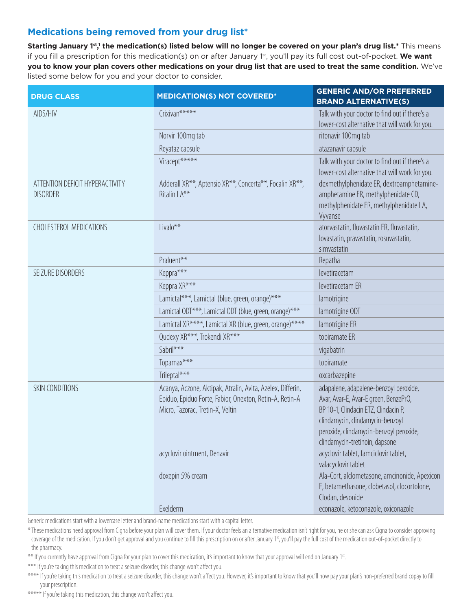# Medications being removed from your drug list\*

Starting January 1st,1 the medication(s) listed below will no longer be covered on your plan's drug list.\* This means if you fill a prescription for this medication(s) on or after January 1st, you'll pay its full cost out-of-pocket. We want you to know your plan covers other medications on your drug list that are used to treat the same condition. We've listed some below for you and your doctor to consider.

| <b>DRUG CLASS</b>                                  | <b>MEDICATION(S) NOT COVERED*</b>                                                                                                                         | <b>GENERIC AND/OR PREFERRED</b><br><b>BRAND ALTERNATIVE(S)</b>                                                                                                                                                                           |
|----------------------------------------------------|-----------------------------------------------------------------------------------------------------------------------------------------------------------|------------------------------------------------------------------------------------------------------------------------------------------------------------------------------------------------------------------------------------------|
| AIDS/HIV                                           | Crixivan*****                                                                                                                                             | Talk with your doctor to find out if there's a                                                                                                                                                                                           |
|                                                    |                                                                                                                                                           | lower-cost alternative that will work for you.                                                                                                                                                                                           |
|                                                    | Norvir 100mg tab                                                                                                                                          | ritonavir 100mg tab                                                                                                                                                                                                                      |
|                                                    | Reyataz capsule                                                                                                                                           | atazanavir capsule                                                                                                                                                                                                                       |
|                                                    | Viracept*****                                                                                                                                             | Talk with your doctor to find out if there's a<br>lower-cost alternative that will work for you.                                                                                                                                         |
| ATTENTION DEFICIT HYPERACTIVITY<br><b>DISORDER</b> | Adderall XR <sup>**</sup> , Aptensio XR <sup>**</sup> , Concerta <sup>**</sup> , Focalin XR <sup>**</sup> ,<br>Ritalin LA**                               | dexmethylphenidate ER, dextroamphetamine-<br>amphetamine ER, methylphenidate CD,<br>methylphenidate ER, methylphenidate LA,<br>Vyvanse                                                                                                   |
| CHOLESTEROL MEDICATIONS                            | Livalo**                                                                                                                                                  | atorvastatin, fluvastatin ER, fluvastatin,<br>lovastatin, pravastatin, rosuvastatin,<br>simvastatin                                                                                                                                      |
|                                                    | Praluent**                                                                                                                                                | Repatha                                                                                                                                                                                                                                  |
| SEIZURE DISORDERS                                  | Keppra***                                                                                                                                                 | levetiracetam                                                                                                                                                                                                                            |
|                                                    | Keppra XR***                                                                                                                                              | levetiracetam ER                                                                                                                                                                                                                         |
|                                                    | Lamictal***, Lamictal (blue, green, orange)***                                                                                                            | lamotrigine                                                                                                                                                                                                                              |
|                                                    | Lamictal ODT***, Lamictal ODT (blue, green, orange)***                                                                                                    | lamotrigine ODT                                                                                                                                                                                                                          |
|                                                    | Lamictal XR****, Lamictal XR (blue, green, orange)****                                                                                                    | lamotrigine ER                                                                                                                                                                                                                           |
|                                                    | Qudexy XR***, Trokendi XR***                                                                                                                              | topiramate ER                                                                                                                                                                                                                            |
|                                                    | Sabril***                                                                                                                                                 | vigabatrin                                                                                                                                                                                                                               |
|                                                    | Topamax***                                                                                                                                                | topiramate                                                                                                                                                                                                                               |
|                                                    | Trileptal***                                                                                                                                              | oxcarbazepine                                                                                                                                                                                                                            |
| SKIN CONDITIONS                                    | Acanya, Aczone, Aktipak, Atralin, Avita, Azelex, Differin,<br>Epiduo, Epiduo Forte, Fabior, Onexton, Retin-A, Retin-A<br>Micro, Tazorac, Tretin-X, Veltin | adapalene, adapalene-benzoyl peroxide,<br>Avar, Avar-E, Avar-E green, BenzePrO,<br>BP 10-1, Clindacin ETZ, Clindacin P,<br>clindamycin, clindamycin-benzoyl<br>peroxide, clindamycin-benzoyl peroxide,<br>clindamycin-tretinoin, dapsone |
|                                                    | acyclovir ointment, Denavir                                                                                                                               | acyclovir tablet, famciclovir tablet,<br>valacyclovir tablet                                                                                                                                                                             |
|                                                    | doxepin 5% cream                                                                                                                                          | Ala-Cort, alclometasone, amcinonide, Apexicon<br>E, betamethasone, clobetasol, clocortolone,<br>Clodan, desonide                                                                                                                         |
|                                                    | Exelderm                                                                                                                                                  | econazole, ketoconazole, oxiconazole                                                                                                                                                                                                     |

Generic medications start with a lowercase letter and brand-name medications start with a capital letter.

\* These medications need approval from Cigna before your plan will cover them. If your doctor feels an alternative medication isn't right for you, he or she can ask Cigna to consider approving coverage of the medication. If you don't get approval and you continue to fill this prescription on or after January 1<sup>st</sup>, you'll pay the full cost of the medication out-of-pocket directly to the pharmacy.

\*\* If you currently have approval from Cigna for your plan to cover this medication, it's important to know that your approval will end on January 1<sup>st</sup>.

\*\*\* If you're taking this medication to treat a seizure disorder, this change won't affect you.

\*\*\*\* If you're taking this medication to treat a seizure disorder, this change won't affect you. However, it's important to know that you'll now pay your plan's non-preferred brand copay to fill your prescription.

\*\*\*\*\* If you're taking this medication, this change won't affect you.